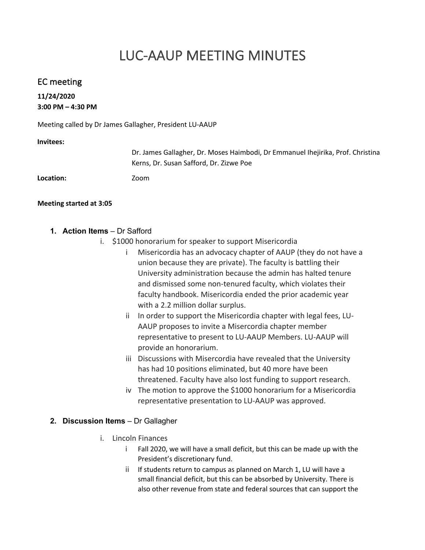# LUC-AAUP MEETING MINUTES

## EC meeting

## **11/24/2020 3:00 PM – 4:30 PM**

Meeting called by Dr James Gallagher, President LU-AAUP

#### **Invitees:**

|                  | Dr. James Gallagher, Dr. Moses Haimbodi, Dr Emmanuel Ihejirika, Prof. Christina |
|------------------|---------------------------------------------------------------------------------|
|                  | Kerns, Dr. Susan Safford, Dr. Zizwe Poe                                         |
| <b>Location:</b> | Zoom                                                                            |
|                  |                                                                                 |

#### **Meeting started at 3:05**

- **1. Action Items** Dr Safford
	- i. \$1000 honorarium for speaker to support Misericordia
		- i Misericordia has an advocacy chapter of AAUP (they do not have a union because they are private). The faculty is battling their University administration because the admin has halted tenure and dismissed some non-tenured faculty, which violates their faculty handbook. Misericordia ended the prior academic year with a 2.2 million dollar surplus.
		- ii In order to support the Misericordia chapter with legal fees, LU-AAUP proposes to invite a Misercordia chapter member representative to present to LU-AAUP Members. LU-AAUP will provide an honorarium.
		- iii Discussions with Misercordia have revealed that the University has had 10 positions eliminated, but 40 more have been threatened. Faculty have also lost funding to support research.
		- iv The motion to approve the \$1000 honorarium for a Misericordia representative presentation to LU-AAUP was approved.

#### **2. Discussion Items** – Dr Gallagher

- i. Lincoln Finances
	- i Fall 2020, we will have a small deficit, but this can be made up with the President's discretionary fund.
	- ii If students return to campus as planned on March 1, LU will have a small financial deficit, but this can be absorbed by University. There is also other revenue from state and federal sources that can support the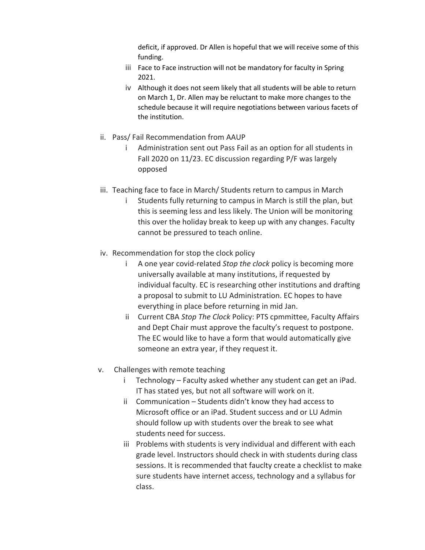deficit, if approved. Dr Allen is hopeful that we will receive some of this funding.

- iii Face to Face instruction will not be mandatory for faculty in Spring 2021.
- iv Although it does not seem likely that all students will be able to return on March 1, Dr. Allen may be reluctant to make more changes to the schedule because it will require negotiations between various facets of the institution.
- ii. Pass/ Fail Recommendation from AAUP
	- i Administration sent out Pass Fail as an option for all students in Fall 2020 on 11/23. EC discussion regarding P/F was largely opposed
- iii. Teaching face to face in March/ Students return to campus in March
	- i Students fully returning to campus in March is still the plan, but this is seeming less and less likely. The Union will be monitoring this over the holiday break to keep up with any changes. Faculty cannot be pressured to teach online.
- iv. Recommendation for stop the clock policy
	- i A one year covid-related *Stop the clock* policy is becoming more universally available at many institutions, if requested by individual faculty. EC is researching other institutions and drafting a proposal to submit to LU Administration. EC hopes to have everything in place before returning in mid Jan.
	- ii Current CBA *Stop The Clock* Policy: PTS cpmmittee, Faculty Affairs and Dept Chair must approve the faculty's request to postpone. The EC would like to have a form that would automatically give someone an extra year, if they request it.
- v. Challenges with remote teaching
	- i Technology Faculty asked whether any student can get an iPad. IT has stated yes, but not all software will work on it.
	- ii Communication Students didn't know they had access to Microsoft office or an iPad. Student success and or LU Admin should follow up with students over the break to see what students need for success.
	- iii Problems with students is very individual and different with each grade level. Instructors should check in with students during class sessions. It is recommended that fauclty create a checklist to make sure students have internet access, technology and a syllabus for class.